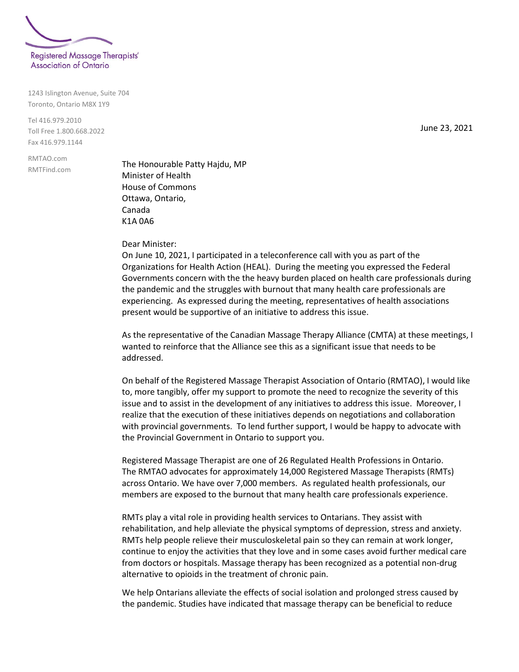

1243 Islington Avenue, Suite 704 Toronto, Ontario M8X 1Y9

Tel 416.979.2010 Toll Free 1.800.668.2022 Fax 416.979.1144

RMTAO.com RMTFind.com

The Honourable Patty Hajdu, MP Minister of Health House of Commons Ottawa, Ontario, Canada K1A 0A6

Dear Minister:

On June 10, 2021, I participated in a teleconference call with you as part of the Organizations for Health Action (HEAL). During the meeting you expressed the Federal Governments concern with the the heavy burden placed on health care professionals during the pandemic and the struggles with burnout that many health care professionals are experiencing. As expressed during the meeting, representatives of health associations present would be supportive of an initiative to address this issue.

As the representative of the Canadian Massage Therapy Alliance (CMTA) at these meetings, I wanted to reinforce that the Alliance see this as a significant issue that needs to be addressed.

On behalf of the Registered Massage Therapist Association of Ontario (RMTAO), I would like to, more tangibly, offer my support to promote the need to recognize the severity of this issue and to assist in the development of any initiatives to address this issue. Moreover, I realize that the execution of these initiatives depends on negotiations and collaboration with provincial governments. To lend further support, I would be happy to advocate with the Provincial Government in Ontario to support you.

Registered Massage Therapist are one of 26 Regulated Health Professions in Ontario. The RMTAO advocates for approximately 14,000 Registered Massage Therapists (RMTs) across Ontario. We have over 7,000 members. As regulated health professionals, our members are exposed to the burnout that many health care professionals experience.

RMTs play a vital role in providing health services to Ontarians. They assist with rehabilitation, and help alleviate the physical symptoms of depression, stress and anxiety. RMTs help people relieve their musculoskeletal pain so they can remain at work longer, continue to enjoy the activities that they love and in some cases avoid further medical care from doctors or hospitals. Massage therapy has been recognized as a potential non-drug alternative to opioids in the treatment of chronic pain.

We help Ontarians alleviate the effects of social isolation and prolonged stress caused by the pandemic. Studies have indicated that massage therapy can be beneficial to reduce

June 23, 2021